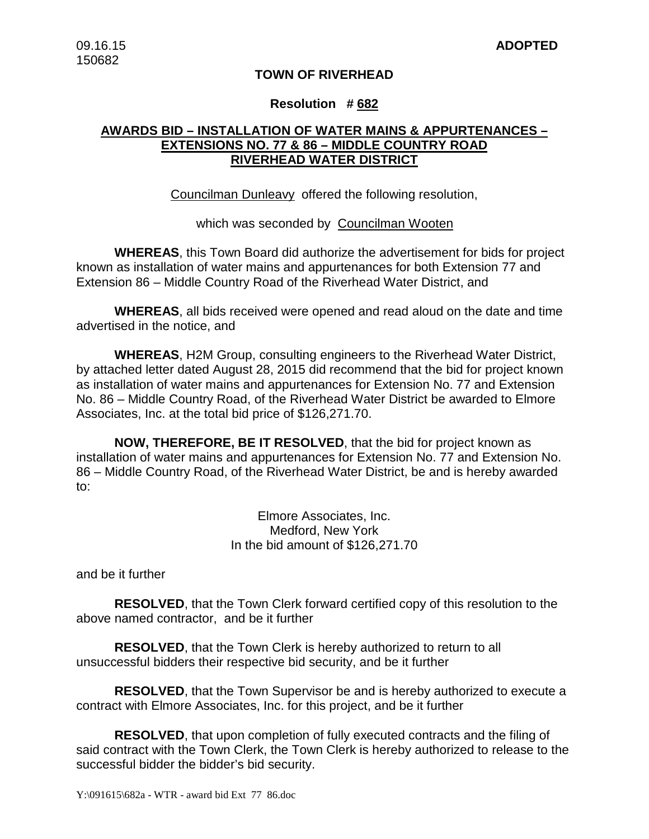## **TOWN OF RIVERHEAD**

### **Resolution # 682**

## **AWARDS BID – INSTALLATION OF WATER MAINS & APPURTENANCES – EXTENSIONS NO. 77 & 86 – MIDDLE COUNTRY ROAD RIVERHEAD WATER DISTRICT**

Councilman Dunleavy offered the following resolution,

which was seconded by Councilman Wooten

**WHEREAS**, this Town Board did authorize the advertisement for bids for project known as installation of water mains and appurtenances for both Extension 77 and Extension 86 – Middle Country Road of the Riverhead Water District, and

**WHEREAS**, all bids received were opened and read aloud on the date and time advertised in the notice, and

**WHEREAS**, H2M Group, consulting engineers to the Riverhead Water District, by attached letter dated August 28, 2015 did recommend that the bid for project known as installation of water mains and appurtenances for Extension No. 77 and Extension No. 86 – Middle Country Road, of the Riverhead Water District be awarded to Elmore Associates, Inc. at the total bid price of \$126,271.70.

**NOW, THEREFORE, BE IT RESOLVED**, that the bid for project known as installation of water mains and appurtenances for Extension No. 77 and Extension No. 86 – Middle Country Road, of the Riverhead Water District, be and is hereby awarded to:

> Elmore Associates, Inc. Medford, New York In the bid amount of \$126,271.70

and be it further

**RESOLVED**, that the Town Clerk forward certified copy of this resolution to the above named contractor, and be it further

**RESOLVED**, that the Town Clerk is hereby authorized to return to all unsuccessful bidders their respective bid security, and be it further

**RESOLVED**, that the Town Supervisor be and is hereby authorized to execute a contract with Elmore Associates, Inc. for this project, and be it further

**RESOLVED**, that upon completion of fully executed contracts and the filing of said contract with the Town Clerk, the Town Clerk is hereby authorized to release to the successful bidder the bidder's bid security.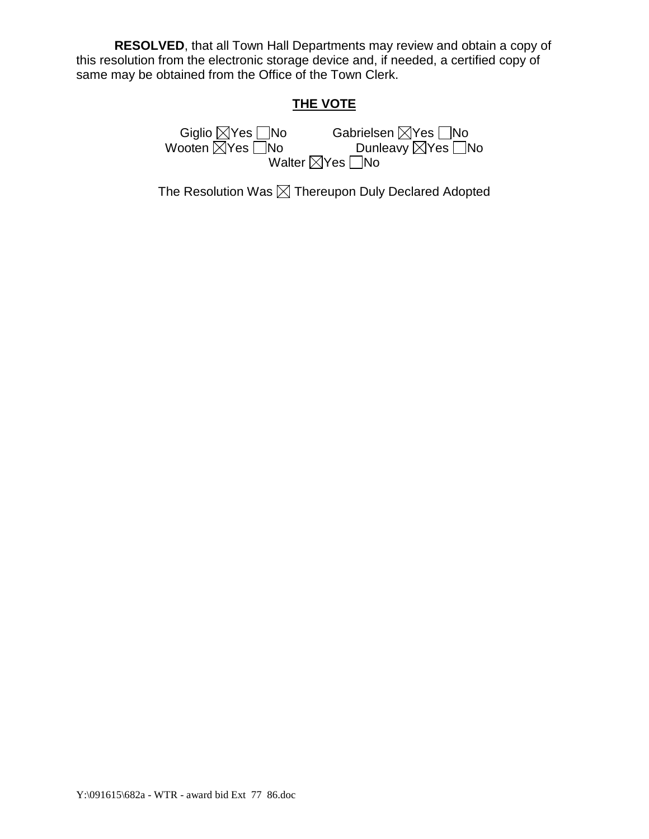**RESOLVED**, that all Town Hall Departments may review and obtain a copy of this resolution from the electronic storage device and, if needed, a certified copy of same may be obtained from the Office of the Town Clerk.

# **THE VOTE**

Gabrielsen ⊠Yes No<br>Dunleavy ⊠Yes No Giglio ⊠Yes **No**<br>Wooten ⊠Yes No Walter  $\boxtimes$ Yes  $\Box$ No

The Resolution Was  $\boxtimes$  Thereupon Duly Declared Adopted